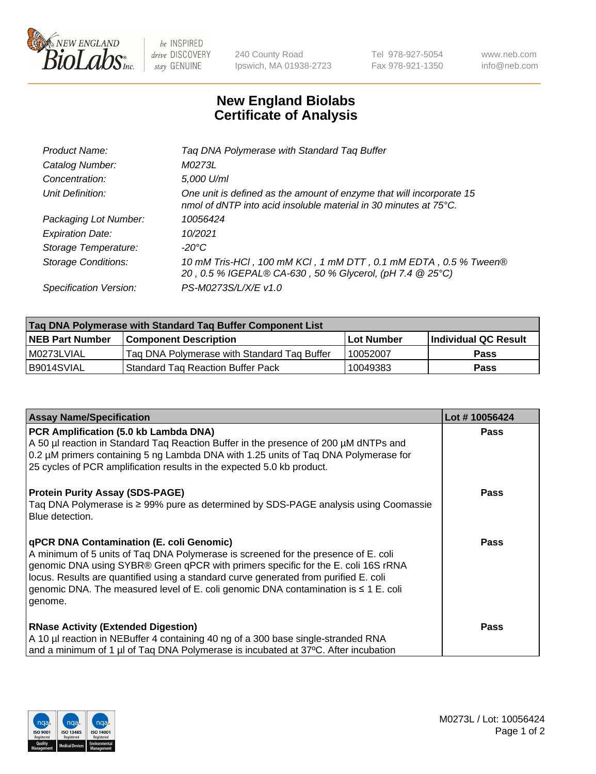

 $be$  INSPIRED drive DISCOVERY stay GENUINE

240 County Road Ipswich, MA 01938-2723 Tel 978-927-5054 Fax 978-921-1350 www.neb.com info@neb.com

## **New England Biolabs Certificate of Analysis**

| Tag DNA Polymerase with Standard Tag Buffer                                                                                                        |
|----------------------------------------------------------------------------------------------------------------------------------------------------|
| M0273L                                                                                                                                             |
| 5,000 U/ml                                                                                                                                         |
| One unit is defined as the amount of enzyme that will incorporate 15<br>nmol of dNTP into acid insoluble material in 30 minutes at $75^{\circ}$ C. |
| 10056424                                                                                                                                           |
| 10/2021                                                                                                                                            |
| $-20^{\circ}$ C                                                                                                                                    |
| 10 mM Tris-HCI, 100 mM KCI, 1 mM DTT, 0.1 mM EDTA, 0.5 % Tween®<br>20, 0.5 % IGEPAL® CA-630, 50 % Glycerol, (pH 7.4 @ 25°C)                        |
| PS-M0273S/L/X/E v1.0                                                                                                                               |
|                                                                                                                                                    |

| Tag DNA Polymerase with Standard Tag Buffer Component List |                                             |                   |                      |  |  |
|------------------------------------------------------------|---------------------------------------------|-------------------|----------------------|--|--|
| <b>NEB Part Number</b>                                     | Component Description_                      | <b>Lot Number</b> | Individual QC Result |  |  |
| M0273LVIAL                                                 | Tag DNA Polymerase with Standard Tag Buffer | 10052007          | Pass                 |  |  |
| B9014SVIAL                                                 | <b>Standard Tag Reaction Buffer Pack</b>    | 10049383          | <b>Pass</b>          |  |  |

| <b>Assay Name/Specification</b>                                                                                                                                                                                                                                                                                                                                                                                    | Lot #10056424 |
|--------------------------------------------------------------------------------------------------------------------------------------------------------------------------------------------------------------------------------------------------------------------------------------------------------------------------------------------------------------------------------------------------------------------|---------------|
| PCR Amplification (5.0 kb Lambda DNA)<br>A 50 µl reaction in Standard Tag Reaction Buffer in the presence of 200 µM dNTPs and<br>0.2 µM primers containing 5 ng Lambda DNA with 1.25 units of Taq DNA Polymerase for<br>25 cycles of PCR amplification results in the expected 5.0 kb product.                                                                                                                     | <b>Pass</b>   |
| <b>Protein Purity Assay (SDS-PAGE)</b><br>Taq DNA Polymerase is ≥ 99% pure as determined by SDS-PAGE analysis using Coomassie<br>Blue detection.                                                                                                                                                                                                                                                                   | <b>Pass</b>   |
| qPCR DNA Contamination (E. coli Genomic)<br>A minimum of 5 units of Taq DNA Polymerase is screened for the presence of E. coli<br>genomic DNA using SYBR® Green qPCR with primers specific for the E. coli 16S rRNA<br>locus. Results are quantified using a standard curve generated from purified E. coli<br>genomic DNA. The measured level of E. coli genomic DNA contamination is $\leq 1$ E. coli<br>genome. | <b>Pass</b>   |
| <b>RNase Activity (Extended Digestion)</b><br>A 10 µl reaction in NEBuffer 4 containing 40 ng of a 300 base single-stranded RNA<br>and a minimum of 1 µl of Taq DNA Polymerase is incubated at 37°C. After incubation                                                                                                                                                                                              | <b>Pass</b>   |